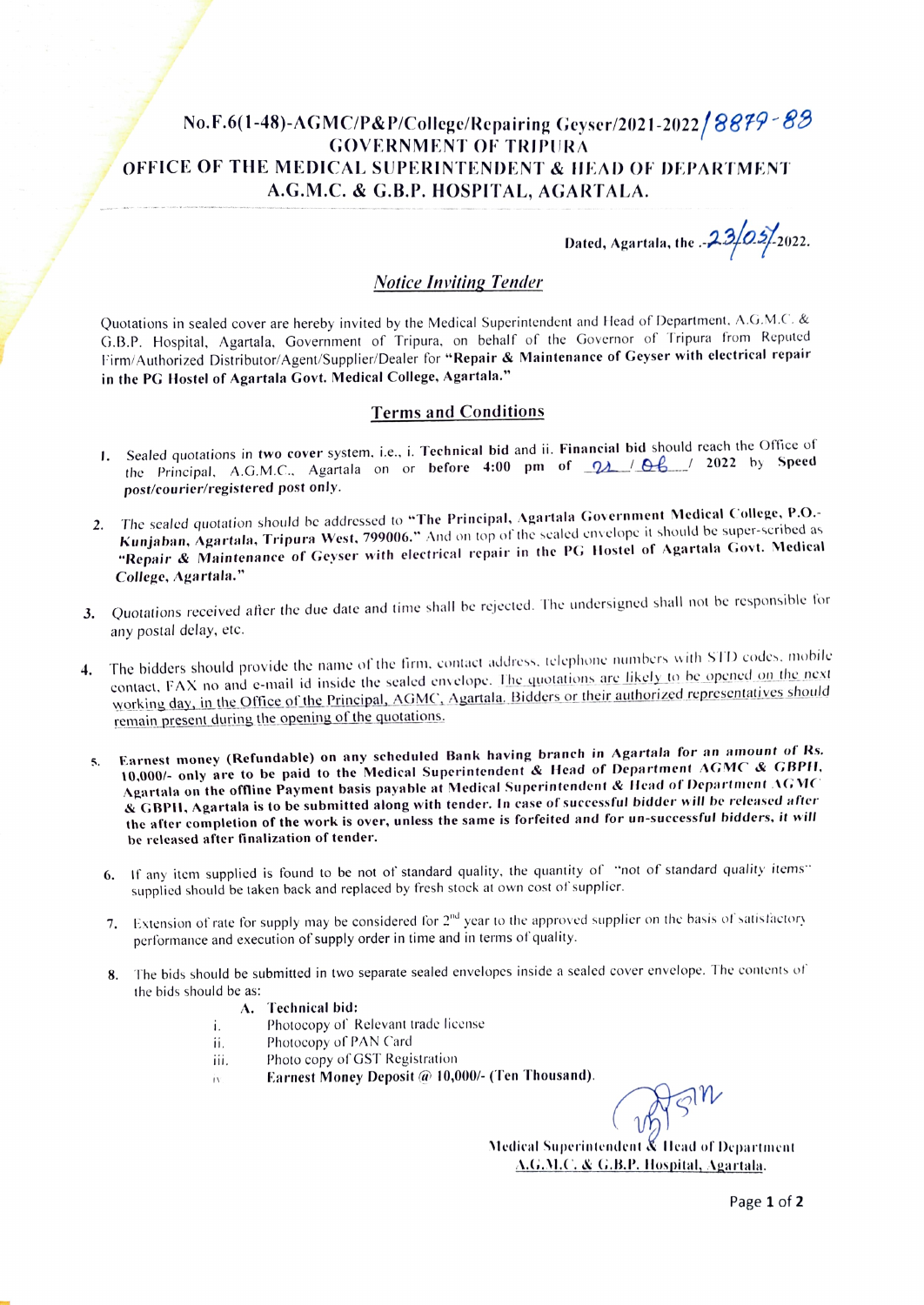# No.F.6(1-48)-AGMC/P&P/College/Repairing Geyser/2021-2022/8879-83 GOVERNMENT OF TRIPURA OFFICE OF THE MEDICAL SUPERINTENDENT & IEAD OF DEPARTMENT A.G.M.C. & G.B.P. HOSPITAL, AGARTALA.

Dated, Agartala, the  $.23/0.5/2022$ .

# Notice Inviting Tender

Quotations in sealed cover are hereby invited by the Medical Superintendent and Head of Department. A.G.M.C. & G.B.P. Hospital. Agartala. Government of Tripura. on behalf of the Governor of Tripura from Reputed Firm/Authorized Distributor/Agent/Supplier/Dealer for "Repair & Maintenance of Geyser with electrical repair in the PG Hostel of Agartala Govt. Medical College. Agartala."

# Terms and Conditions

- I. Sealed quotations in two cover system, i.e., i. Technical bid and ii. Financial bid should reach the Office of the Principal, A.G.M.C., Agartala on or before 4:00 pm of  $Q_A$  /  $Q_B$  / 2022 by Speed post/courier/registered post only.
- 2. The sealed quotation should be addressed to "The Principal, Agartala Government Medical College, P.O.-Kunjaban, Agartala, Tripura West, 799006." And on top of the sealed envelope it should be super-seribed as "Repair & Maintenance of Geyser with electrical repair in the PG Hostel of Agartala Govt. Medical College, Agartala."
- 3. Quotations received after the due date and time shall be rejected. The undersigned shall not be responsible for any postal delay, etc.
- 4. The bidders should provide the name of the firm, contact address, telephone numbers with STD codes, mobile contact, FAX no and e-mail id inside the sealed envelope. The quotations are likely to be opened on the next working day, in the Office of the Principal, AGMC, Agartala. Bidders or their authorized representatives should remain present during the opening of the quotations.
	- 5. Earnest money (Refundable) on any scheduled Bank having branch in Agartala for an amount of Rs. 10,000/- only are to be paid to the Medical Superintendent & Head of Department AGMC & GBPH. Agartala on the offline Payment basis payable at Medical Superintendent & Head of Department AGMC & GBPI, Agartala is to be submitted along with tender. In case of successful bidder will be released ater the after completion of the work is over, unless the same is forfeited and for un-successful bidders, it will be released after finalization of tender.
		- 6. If any item supplied is found to be not of standard quality, the quantity of "not of standard quality items" supplied should be taken back and replaced by fresh stock at own cost of supplier.
		- 7. Extension of rate for supply may be considered for  $2<sup>nd</sup>$  year to the approved supplier on the basis of satisfactory performance and execution of supply order in time and in terms of quality.
		- 8. The bids should be submitted in two separate sealed envelopes inside a sealed cover envelope. The contents of the bids should be as:
			- A. Technical bid:
			- Photocopy of Relevant trade license i.
			- Photocopy of PAN Card ij,
			- Photo copy of GST Registration iii.
			- Earnest Money Deposit @ 10,000/- (Ten Thousand). İ٧

Medical Superintendent & Ilead of Department A.G.M.C. & G.B.P. Hospital, Agartala.